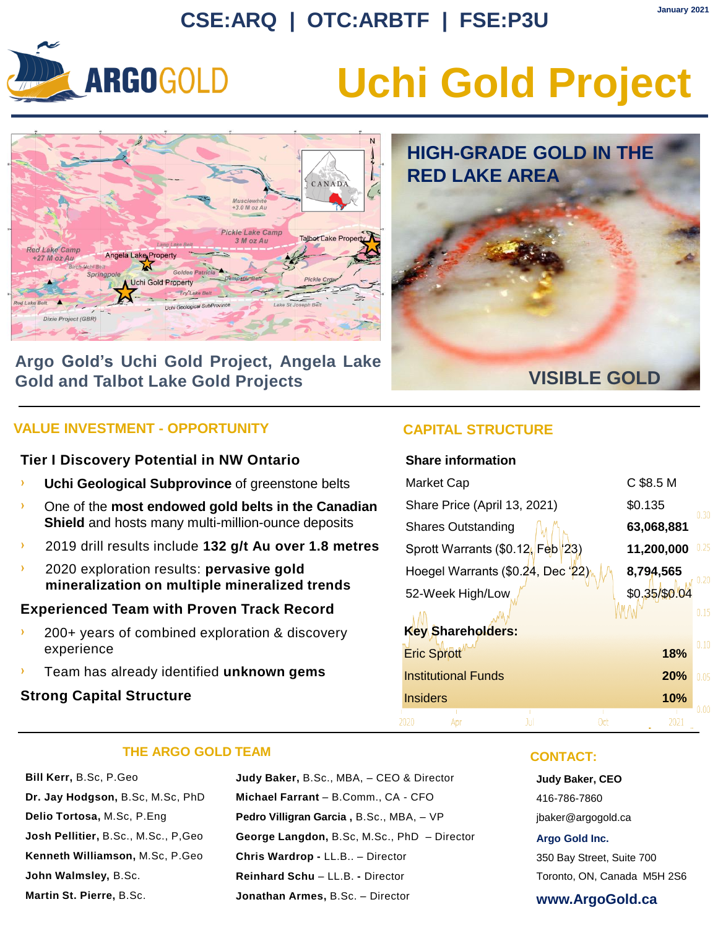### **CSE:ARQ | OTC:ARBTF | FSE:P3U**



## **Uchi Gold Project**

**RED LAKE AREA**

**HIGH-GRADE GOLD IN THE** 



#### **Argo Gold's Uchi Gold Project, Angela Lake Gold and Talbot Lake Gold Projects**

#### **VALUE INVESTMENT - OPPORTUNITY CAPITAL STRUCTURE**

#### **Tier I Discovery Potential in NW Ontario**

- **Uchi Geological Subprovince** of greenstone belts
- One of the **most endowed gold belts in the Canadian Shield** and hosts many multi-million-ounce deposits
- › 2019 drill results include **132 g/t Au over 1.8 metres**
- › 2020 exploration results: **pervasive gold mineralization on multiple mineralized trends**

#### **Experienced Team with Proven Track Record**

- › 200+ years of combined exploration & discovery experience
- › Team has already identified **unknown gems**

#### **Strong Capital Structure**



#### **Share information**

| Market Cap                                   |            | C \$8.5 M     |      |
|----------------------------------------------|------------|---------------|------|
| Share Price (April 13, 2021)                 |            | \$0.135       | 0.30 |
| <b>Shares Outstanding</b>                    |            | 63,068,881    |      |
| Sprott Warrants (\$0.12 Feb <sup>1</sup> 23) |            | 11,200,000    | 0.25 |
| Hoegel Warrants (\$0.24, Dec '22)            |            | 8,794,565     | 0.20 |
| 52-Week High/Low                             |            | \$0.35/\$0.04 |      |
|                                              |            |               | 0.15 |
| <b>Key Shareholders:</b>                     |            |               |      |
| <b>Eric Sprott</b>                           |            | 18%           | 0.10 |
| <b>Institutional Funds</b>                   |            | <b>20%</b>    | 0.05 |
| <b>Insiders</b>                              |            | 10%           |      |
|                                              | Jul<br>Oct | 2021          | 0.00 |

#### **THE ARGO GOLD TEAM**

**Bill Kerr,** B.Sc, P.Geo **Dr. Jay Hodgson,** B.Sc, M.Sc, PhD **Delio Tortosa,** M.Sc, P.Eng **Josh Pellitier,** B.Sc., M.Sc., P,Geo **Kenneth Williamson,** M.Sc, P.Geo **John Walmsley,** B.Sc. **Martin St. Pierre,** B.Sc.

**Judy Baker,** B.Sc., MBA, – CEO & Director **Michael Farrant** – B.Comm., CA - CFO **Pedro Villigran Garcia ,** B.Sc., MBA, – VP **George Langdon,** B.Sc, M.Sc., PhD – Director **Chris Wardrop -** LL.B.. – Director **Reinhard Schu** – LL.B. **-** Director **Jonathan Armes,** B.Sc. – Director

#### **CONTACT:**

**Judy Baker, CEO** 416-786-7860 jbaker@argogold.ca

#### **Argo Gold Inc.**

350 Bay Street, Suite 700 Toronto, ON, Canada M5H 2S6

#### **www.ArgoGold.ca**